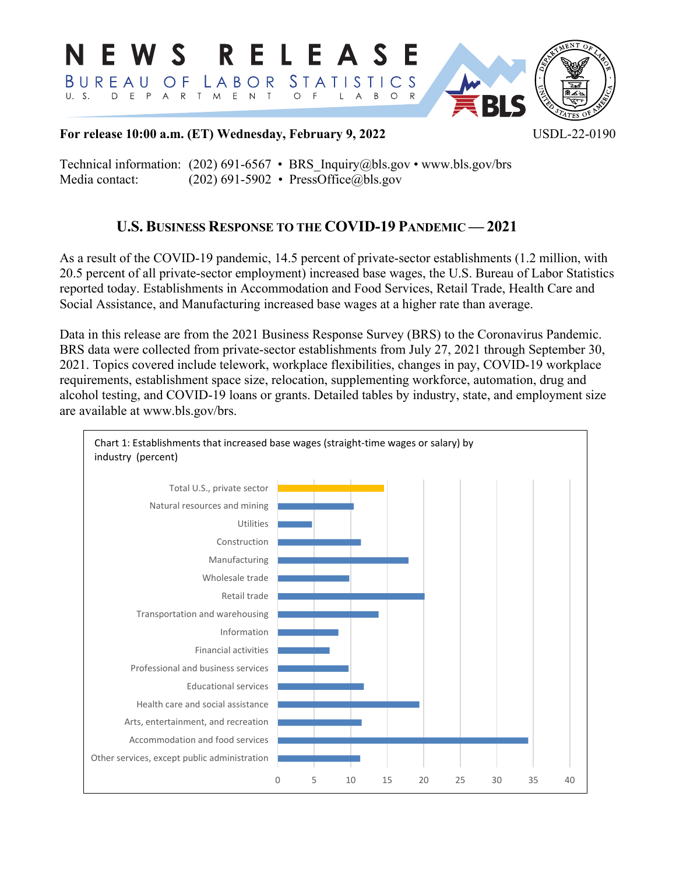

**For release 10:00 a.m. (ET) Wednesday, February 9, 2022** USDL-22-0190

Technical information: (202) 691-6567 • BRS\_Inquiry@bls.gov • www.bls.gov/brs Media contact: (202) 691-5902 • [PressOffice@bls.gov](mailto:PressOffice@bls.gov)

# **U.S. BUSINESS RESPONSE TO THE COVID-19 PANDEMIC — 2021**

As a result of the COVID-19 pandemic, 14.5 percent of private-sector establishments (1.2 million, with 20.5 percent of all private-sector employment) increased base wages, the U.S. Bureau of Labor Statistics reported today. Establishments in Accommodation and Food Services, Retail Trade, Health Care and Social Assistance, and Manufacturing increased base wages at a higher rate than average.

Data in this release are from the 2021 Business Response Survey (BRS) to the Coronavirus Pandemic. BRS data were collected from private-sector establishments from July 27, 2021 through September 30, 2021. Topics covered include telework, workplace flexibilities, changes in pay, COVID-19 workplace requirements, establishment space size, relocation, supplementing workforce, automation, drug and alcohol testing, and COVID-19 loans or grants. Detailed tables by industry, state, and employment size are available at www.bls.gov/brs.

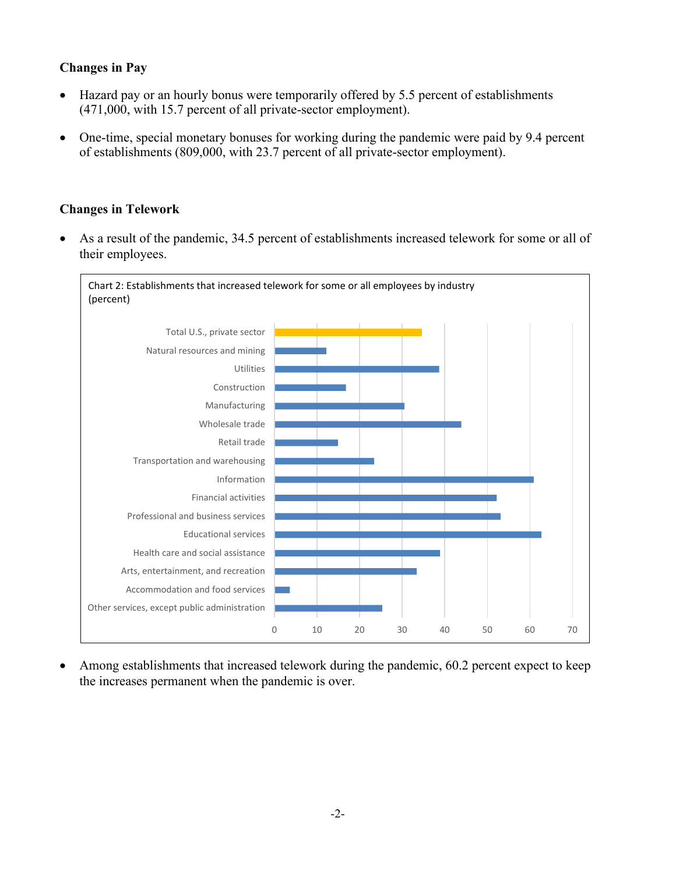## **Changes in Pay**

- Hazard pay or an hourly bonus were temporarily offered by 5.5 percent of establishments (471,000, with 15.7 percent of all private-sector employment).
- One-time, special monetary bonuses for working during the pandemic were paid by 9.4 percent of establishments (809,000, with 23.7 percent of all private-sector employment).

## **Changes in Telework**

• As a result of the pandemic, 34.5 percent of establishments increased telework for some or all of their employees.



• Among establishments that increased telework during the pandemic, 60.2 percent expect to keep the increases permanent when the pandemic is over.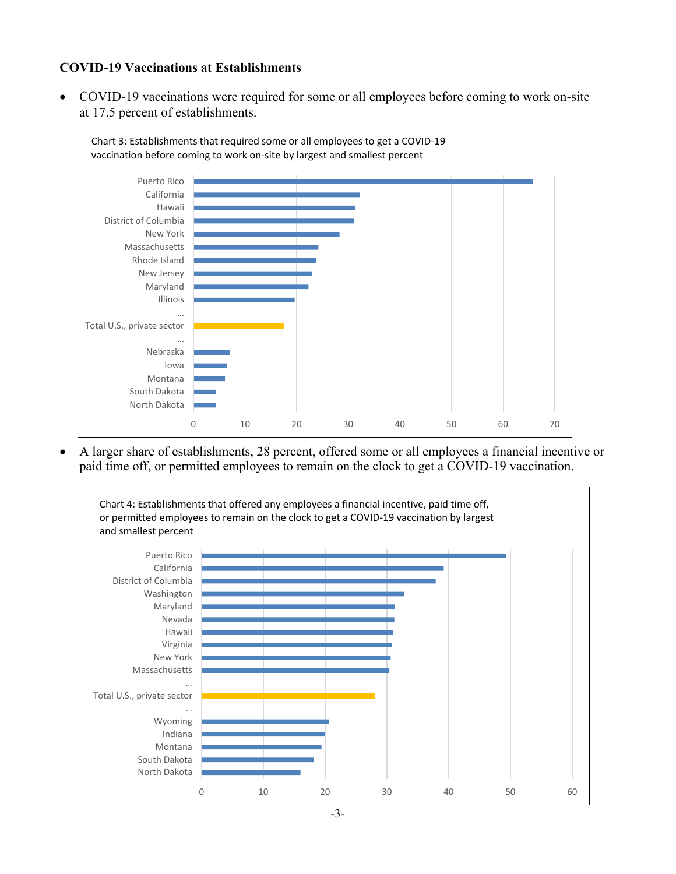## **COVID-19 Vaccinations at Establishments**

• COVID-19 vaccinations were required for some or all employees before coming to work on-site at 17.5 percent of establishments.



• A larger share of establishments, 28 percent, offered some or all employees a financial incentive or paid time off, or permitted employees to remain on the clock to get a COVID-19 vaccination.

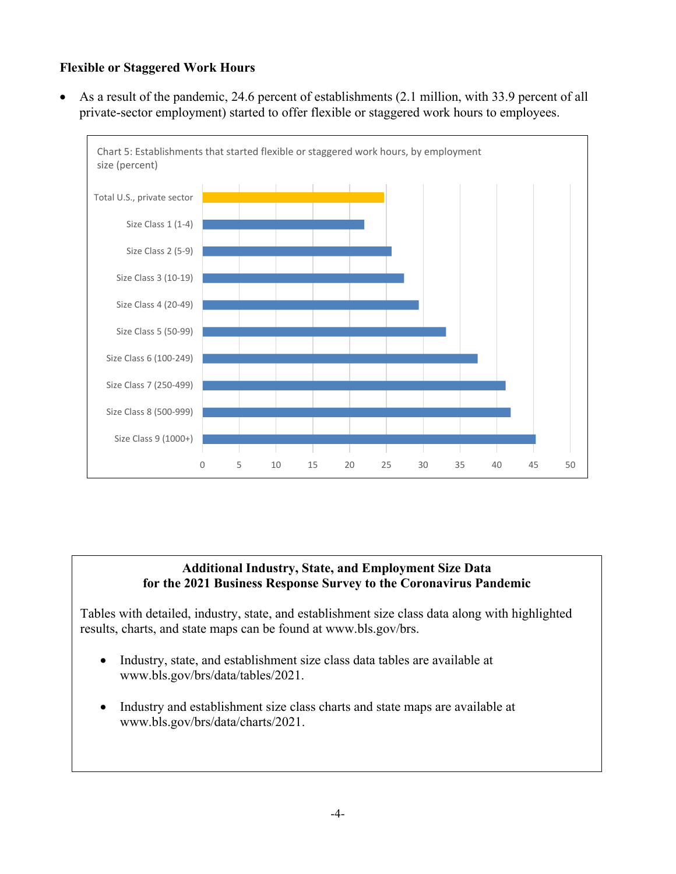## **Flexible or Staggered Work Hours**

• As a result of the pandemic, 24.6 percent of establishments (2.1 million, with 33.9 percent of all private-sector employment) started to offer flexible or staggered work hours to employees.



### **Additional Industry, State, and Employment Size Data for the 2021 Business Response Survey to the Coronavirus Pandemic**

Tables with detailed, industry, state, and establishment size class data along with highlighted results, charts, and state maps can be found at www.bls.gov/brs.

- Industry, state, and establishment size class data tables are available at www.bls.gov/brs/data/tables/2021.
- Industry and establishment size class charts and state maps are available at www.bls.gov/brs/data/charts/2021.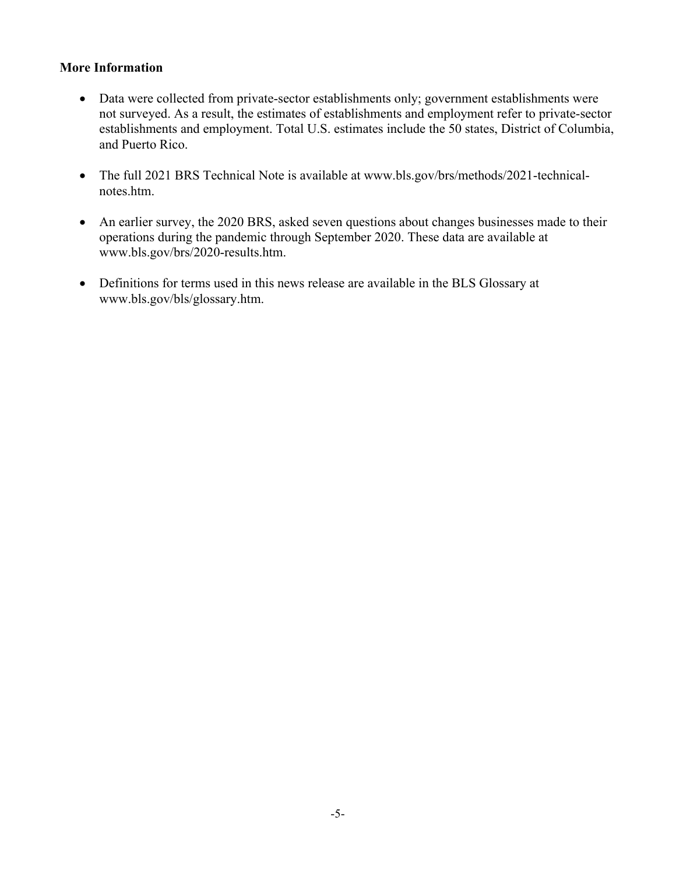### **More Information**

- Data were collected from private-sector establishments only; government establishments were not surveyed. As a result, the estimates of establishments and employment refer to private-sector establishments and employment. Total U.S. estimates include the 50 states, District of Columbia, and Puerto Rico.
- The full 2021 BRS Technical Note is available at www.bls.gov/brs/methods/2021-technicalnotes.htm.
- An earlier survey, the 2020 BRS, asked seven questions about changes businesses made to their operations during the pandemic through September 2020. These data are available at www.bls.gov/brs/2020-results.htm.
- Definitions for terms used in this news release are available in the BLS Glossary at www.bls.gov/bls/glossary.htm.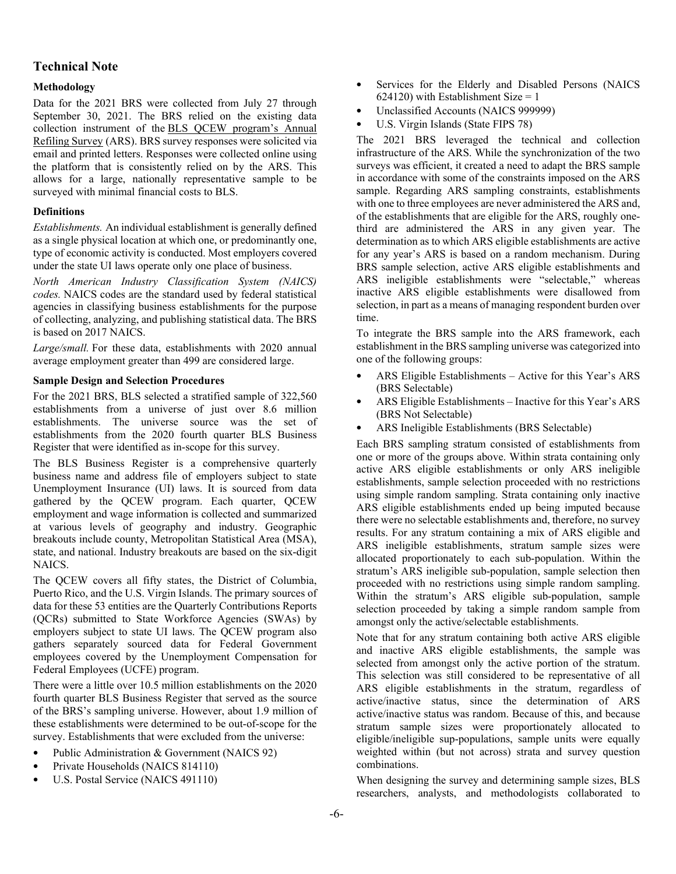### **Technical Note**

#### **Methodology**

Data for the 2021 BRS were collected from July 27 through September 30, 2021. The BRS relied on the existing data collection instrument of the [BLS QCEW program's Annual](https://www.bls.gov/respondents/ars/home.htm)  [Refiling Survey](https://www.bls.gov/respondents/ars/home.htm) (ARS). BRS survey responses were solicited via email and printed letters. Responses were collected online using the platform that is consistently relied on by the ARS. This allows for a large, nationally representative sample to be surveyed with minimal financial costs to BLS.

#### **Definitions**

*Establishments.* An individual establishment is generally defined as a single physical location at which one, or predominantly one, type of economic activity is conducted. Most employers covered under the state UI laws operate only one place of business.

*North American Industry Classification System (NAICS) codes.* NAICS codes are the standard used by federal statistical agencies in classifying business establishments for the purpose of collecting, analyzing, and publishing statistical data. The BRS is based on 2017 NAICS.

*Large/small.* For these data, establishments with 2020 annual average employment greater than 499 are considered large.

#### **Sample Design and Selection Procedures**

For the 2021 BRS, BLS selected a stratified sample of 322,560 establishments from a universe of just over 8.6 million establishments. The universe source was the set of establishments from the 2020 fourth quarter BLS Business Register that were identified as in-scope for this survey.

The BLS Business Register is a comprehensive quarterly business name and address file of employers subject to state Unemployment Insurance (UI) laws. It is sourced from data gathered by the QCEW program. Each quarter, QCEW employment and wage information is collected and summarized at various levels of geography and industry. Geographic breakouts include county, Metropolitan Statistical Area (MSA), state, and national. Industry breakouts are based on the six-digit NAICS.

The QCEW covers all fifty states, the District of Columbia, Puerto Rico, and the U.S. Virgin Islands. The primary sources of data for these 53 entities are the Quarterly Contributions Reports (QCRs) submitted to State Workforce Agencies (SWAs) by employers subject to state UI laws. The QCEW program also gathers separately sourced data for Federal Government employees covered by the Unemployment Compensation for Federal Employees (UCFE) program.

There were a little over 10.5 million establishments on the 2020 fourth quarter BLS Business Register that served as the source of the BRS's sampling universe. However, about 1.9 million of these establishments were determined to be out-of-scope for the survey. Establishments that were excluded from the universe:

- Public Administration & Government (NAICS 92)
- Private Households (NAICS 814110)
- U.S. Postal Service (NAICS 491110)
- Services for the Elderly and Disabled Persons (NAICS 624120) with Establishment Size  $= 1$
- Unclassified Accounts (NAICS 999999)
- U.S. Virgin Islands (State FIPS 78)

The 2021 BRS leveraged the technical and collection infrastructure of the ARS. While the synchronization of the two surveys was efficient, it created a need to adapt the BRS sample in accordance with some of the constraints imposed on the ARS sample. Regarding ARS sampling constraints, establishments with one to three employees are never administered the ARS and, of the establishments that are eligible for the ARS, roughly onethird are administered the ARS in any given year. The determination as to which ARS eligible establishments are active for any year's ARS is based on a random mechanism. During BRS sample selection, active ARS eligible establishments and ARS ineligible establishments were "selectable," whereas inactive ARS eligible establishments were disallowed from selection, in part as a means of managing respondent burden over time.

To integrate the BRS sample into the ARS framework, each establishment in the BRS sampling universe was categorized into one of the following groups:

- ARS Eligible Establishments Active for this Year's ARS (BRS Selectable)
- ARS Eligible Establishments Inactive for this Year's ARS (BRS Not Selectable)
- ARS Ineligible Establishments (BRS Selectable)

Each BRS sampling stratum consisted of establishments from one or more of the groups above. Within strata containing only active ARS eligible establishments or only ARS ineligible establishments, sample selection proceeded with no restrictions using simple random sampling. Strata containing only inactive ARS eligible establishments ended up being imputed because there were no selectable establishments and, therefore, no survey results. For any stratum containing a mix of ARS eligible and ARS ineligible establishments, stratum sample sizes were allocated proportionately to each sub-population. Within the stratum's ARS ineligible sub-population, sample selection then proceeded with no restrictions using simple random sampling. Within the stratum's ARS eligible sub-population, sample selection proceeded by taking a simple random sample from amongst only the active/selectable establishments.

Note that for any stratum containing both active ARS eligible and inactive ARS eligible establishments, the sample was selected from amongst only the active portion of the stratum. This selection was still considered to be representative of all ARS eligible establishments in the stratum, regardless of active/inactive status, since the determination of ARS active/inactive status was random. Because of this, and because stratum sample sizes were proportionately allocated to eligible/ineligible sup-populations, sample units were equally weighted within (but not across) strata and survey question combinations.

When designing the survey and determining sample sizes, BLS researchers, analysts, and methodologists collaborated to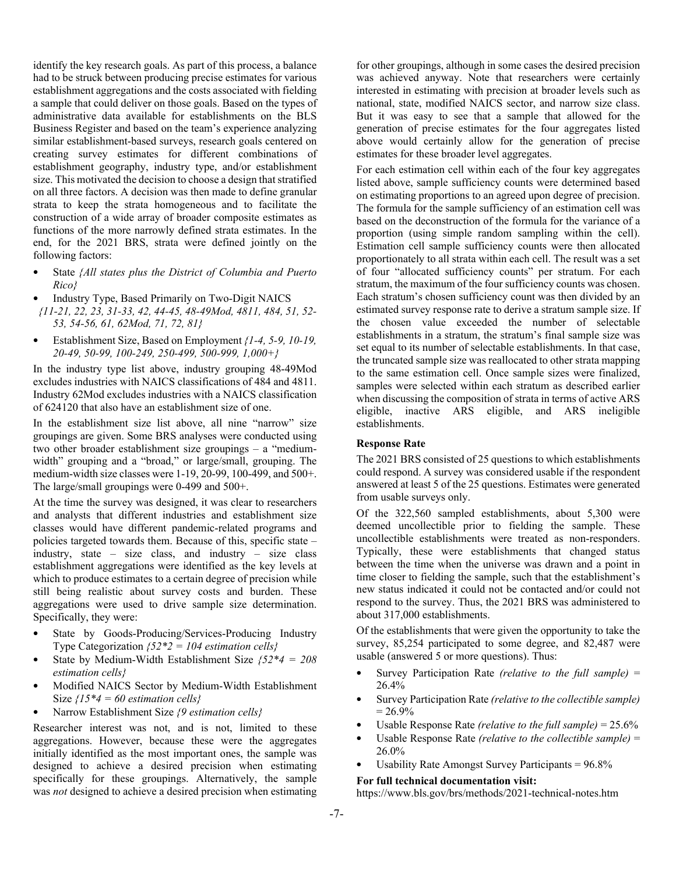identify the key research goals. As part of this process, a balance had to be struck between producing precise estimates for various establishment aggregations and the costs associated with fielding a sample that could deliver on those goals. Based on the types of administrative data available for establishments on the BLS Business Register and based on the team's experience analyzing similar establishment-based surveys, research goals centered on creating survey estimates for different combinations of establishment geography, industry type, and/or establishment size. This motivated the decision to choose a design that stratified on all three factors. A decision was then made to define granular strata to keep the strata homogeneous and to facilitate the construction of a wide array of broader composite estimates as functions of the more narrowly defined strata estimates. In the end, for the 2021 BRS, strata were defined jointly on the following factors:

- State *{All states plus the District of Columbia and Puerto Rico}*
- Industry Type, Based Primarily on Two-Digit NAICS  *{11-21, 22, 23, 31-33, 42, 44-45, 48-49Mod, 4811, 484, 51, 52- 53, 54-56, 61, 62Mod, 71, 72, 81}*
- Establishment Size, Based on Employment *{1-4, 5-9, 10-19, 20-49, 50-99, 100-249, 250-499, 500-999, 1,000+}*

In the industry type list above, industry grouping 48-49Mod excludes industries with NAICS classifications of 484 and 4811. Industry 62Mod excludes industries with a NAICS classification of 624120 that also have an establishment size of one.

In the establishment size list above, all nine "narrow" size groupings are given. Some BRS analyses were conducted using two other broader establishment size groupings – a "mediumwidth" grouping and a "broad," or large/small, grouping. The medium-width size classes were 1-19, 20-99, 100-499, and 500+. The large/small groupings were 0-499 and 500+.

At the time the survey was designed, it was clear to researchers and analysts that different industries and establishment size classes would have different pandemic-related programs and policies targeted towards them. Because of this, specific state – industry, state – size class, and industry – size class establishment aggregations were identified as the key levels at which to produce estimates to a certain degree of precision while still being realistic about survey costs and burden. These aggregations were used to drive sample size determination. Specifically, they were:

- State by Goods-Producing/Services-Producing Industry Type Categorization *{52\*2 = 104 estimation cells}*
- State by Medium-Width Establishment Size *{52\*4 = 208 estimation cells}*
- Modified NAICS Sector by Medium-Width Establishment Size *{15\*4 = 60 estimation cells}*
- Narrow Establishment Size *{9 estimation cells}*

Researcher interest was not, and is not, limited to these aggregations. However, because these were the aggregates initially identified as the most important ones, the sample was designed to achieve a desired precision when estimating specifically for these groupings. Alternatively, the sample was *not* designed to achieve a desired precision when estimating

for other groupings, although in some cases the desired precision was achieved anyway. Note that researchers were certainly interested in estimating with precision at broader levels such as national, state, modified NAICS sector, and narrow size class. But it was easy to see that a sample that allowed for the generation of precise estimates for the four aggregates listed above would certainly allow for the generation of precise estimates for these broader level aggregates.

For each estimation cell within each of the four key aggregates listed above, sample sufficiency counts were determined based on estimating proportions to an agreed upon degree of precision. The formula for the sample sufficiency of an estimation cell was based on the deconstruction of the formula for the variance of a proportion (using simple random sampling within the cell). Estimation cell sample sufficiency counts were then allocated proportionately to all strata within each cell. The result was a set of four "allocated sufficiency counts" per stratum. For each stratum, the maximum of the four sufficiency counts was chosen. Each stratum's chosen sufficiency count was then divided by an estimated survey response rate to derive a stratum sample size. If the chosen value exceeded the number of selectable establishments in a stratum, the stratum's final sample size was set equal to its number of selectable establishments. In that case, the truncated sample size was reallocated to other strata mapping to the same estimation cell. Once sample sizes were finalized, samples were selected within each stratum as described earlier when discussing the composition of strata in terms of active ARS eligible, inactive ARS eligible, and ARS ineligible establishments.

#### **Response Rate**

The 2021 BRS consisted of 25 questions to which establishments could respond. A survey was considered usable if the respondent answered at least 5 of the 25 questions. Estimates were generated from usable surveys only.

Of the 322,560 sampled establishments, about 5,300 were deemed uncollectible prior to fielding the sample. These uncollectible establishments were treated as non-responders. Typically, these were establishments that changed status between the time when the universe was drawn and a point in time closer to fielding the sample, such that the establishment's new status indicated it could not be contacted and/or could not respond to the survey. Thus, the 2021 BRS was administered to about 317,000 establishments.

Of the establishments that were given the opportunity to take the survey, 85,254 participated to some degree, and 82,487 were usable (answered 5 or more questions). Thus:

- Survey Participation Rate *(relative to the full sample)* = 26.4%
- Survey Participation Rate *(relative to the collectible sample)*  $= 26.9\%$
- Usable Response Rate *(relative to the full sample)* = 25.6%
- Usable Response Rate *(relative to the collectible sample)* = 26.0%
- Usability Rate Amongst Survey Participants =  $96.8\%$

#### **For full technical documentation visit:**

https://www.bls.gov/brs/methods/2021-technical-notes.htm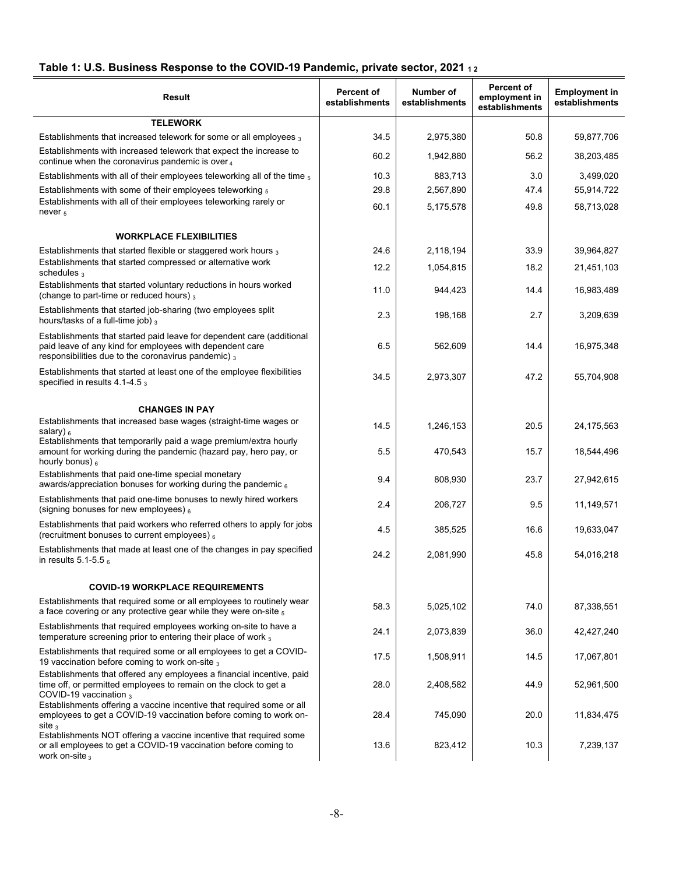## Table 1: U.S. Business Response to the COVID-19 Pandemic, private sector, 2021 12

| Result                                                                                                                                                                                   | <b>Percent of</b><br>establishments | Number of<br>establishments | Percent of<br>employment in<br>establishments | <b>Employment in</b><br>establishments |
|------------------------------------------------------------------------------------------------------------------------------------------------------------------------------------------|-------------------------------------|-----------------------------|-----------------------------------------------|----------------------------------------|
| <b>TELEWORK</b>                                                                                                                                                                          |                                     |                             |                                               |                                        |
| Establishments that increased telework for some or all employees 3                                                                                                                       | 34.5                                | 2,975,380                   | 50.8                                          | 59,877,706                             |
| Establishments with increased telework that expect the increase to<br>continue when the coronavirus pandemic is over $_4$                                                                | 60.2                                | 1,942,880                   | 56.2                                          | 38,203,485                             |
| Establishments with all of their employees teleworking all of the time $_5$                                                                                                              | 10.3                                | 883,713                     | 3.0                                           | 3,499,020                              |
| Establishments with some of their employees teleworking 5                                                                                                                                | 29.8                                | 2,567,890                   | 47.4                                          | 55,914,722                             |
| Establishments with all of their employees teleworking rarely or<br>never $5$                                                                                                            | 60.1                                | 5,175,578                   | 49.8                                          | 58,713,028                             |
| <b>WORKPLACE FLEXIBILITIES</b>                                                                                                                                                           |                                     |                             |                                               |                                        |
| Establishments that started flexible or staggered work hours $_3$                                                                                                                        | 24.6                                | 2,118,194                   | 33.9                                          | 39,964,827                             |
| Establishments that started compressed or alternative work<br>schedules $_3$                                                                                                             | 12.2                                | 1,054,815                   | 18.2                                          | 21,451,103                             |
| Establishments that started voluntary reductions in hours worked<br>(change to part-time or reduced hours) $_3$                                                                          | 11.0                                | 944,423                     | 14.4                                          | 16,983,489                             |
| Establishments that started job-sharing (two employees split<br>hours/tasks of a full-time job) $_3$                                                                                     | 2.3                                 | 198,168                     | 2.7                                           | 3,209,639                              |
| Establishments that started paid leave for dependent care (additional<br>paid leave of any kind for employees with dependent care<br>responsibilities due to the coronavirus pandemic) 3 | 6.5                                 | 562,609                     | 14.4                                          | 16,975,348                             |
| Establishments that started at least one of the employee flexibilities<br>specified in results 4.1-4.5 3                                                                                 | 34.5                                | 2,973,307                   | 47.2                                          | 55,704,908                             |
| <b>CHANGES IN PAY</b>                                                                                                                                                                    |                                     |                             |                                               |                                        |
| Establishments that increased base wages (straight-time wages or<br>salary) $_6$                                                                                                         | 14.5                                | 1,246,153                   | 20.5                                          | 24,175,563                             |
| Establishments that temporarily paid a wage premium/extra hourly<br>amount for working during the pandemic (hazard pay, hero pay, or<br>hourly bonus) $_6$                               | 5.5                                 | 470,543                     | 15.7                                          | 18,544,496                             |
| Establishments that paid one-time special monetary<br>awards/appreciation bonuses for working during the pandemic 6                                                                      | 9.4                                 | 808,930                     | 23.7                                          | 27,942,615                             |
| Establishments that paid one-time bonuses to newly hired workers<br>(signing bonuses for new employees) $_6$                                                                             | 2.4                                 | 206,727                     | 9.5                                           | 11,149,571                             |
| Establishments that paid workers who referred others to apply for jobs<br>(recruitment bonuses to current employees) $_6$                                                                | 4.5                                 | 385,525                     | 16.6                                          | 19,633,047                             |
| Establishments that made at least one of the changes in pay specified<br>in results $5.1 - 5.5$ 6                                                                                        | 24.2                                | 2,081,990                   | 45.8                                          | 54,016,218                             |
| <b>COVID-19 WORKPLACE REQUIREMENTS</b>                                                                                                                                                   |                                     |                             |                                               |                                        |
| Establishments that required some or all employees to routinely wear<br>a face covering or any protective gear while they were on-site $_5$                                              | 58.3                                | 5,025,102                   | 74.0                                          | 87,338,551                             |
| Establishments that required employees working on-site to have a<br>temperature screening prior to entering their place of work 5                                                        | 24.1                                | 2,073,839                   | 36.0                                          | 42,427,240                             |
| Establishments that required some or all employees to get a COVID-<br>19 vaccination before coming to work on-site 3                                                                     | 17.5                                | 1,508,911                   | 14.5                                          | 17,067,801                             |
| Establishments that offered any employees a financial incentive, paid<br>time off, or permitted employees to remain on the clock to get a<br>COVID-19 vaccination 3                      | 28.0                                | 2,408,582                   | 44.9                                          | 52,961,500                             |
| Establishments offering a vaccine incentive that required some or all<br>employees to get a COVID-19 vaccination before coming to work on-<br>site $_3$                                  | 28.4                                | 745,090                     | 20.0                                          | 11,834,475                             |
| Establishments NOT offering a vaccine incentive that required some<br>or all employees to get a COVID-19 vaccination before coming to<br>work on-site $_3$                               | 13.6                                | 823,412                     | 10.3                                          | 7,239,137                              |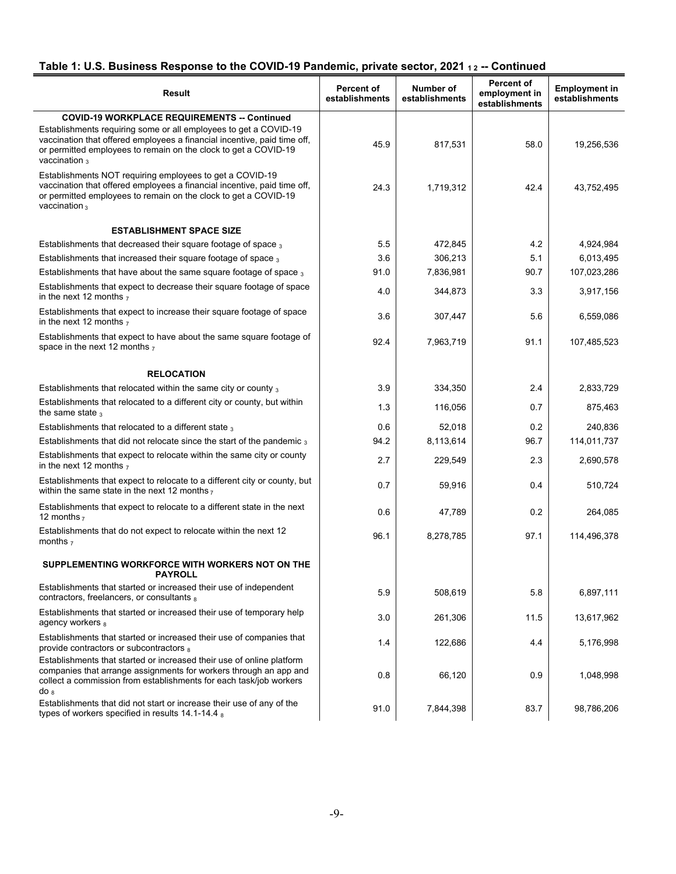# Table 1: U.S. Business Response to the COVID-19 Pandemic, private sector, 2021 12 -- Continued

| <b>Result</b>                                                                                                                                                                                                                       | <b>Percent of</b><br>establishments | Number of<br>establishments | <b>Percent of</b><br>employment in<br>establishments | <b>Employment in</b><br>establishments |
|-------------------------------------------------------------------------------------------------------------------------------------------------------------------------------------------------------------------------------------|-------------------------------------|-----------------------------|------------------------------------------------------|----------------------------------------|
| <b>COVID-19 WORKPLACE REQUIREMENTS -- Continued</b>                                                                                                                                                                                 |                                     |                             |                                                      |                                        |
| Establishments requiring some or all employees to get a COVID-19<br>vaccination that offered employees a financial incentive, paid time off,<br>or permitted employees to remain on the clock to get a COVID-19<br>vaccination $_3$ | 45.9                                | 817,531                     | 58.0                                                 | 19.256.536                             |
| Establishments NOT requiring employees to get a COVID-19<br>vaccination that offered employees a financial incentive, paid time off,<br>or permitted employees to remain on the clock to get a COVID-19<br>vaccination $_3$         | 24.3                                | 1,719,312                   | 42.4                                                 | 43,752,495                             |
| <b>ESTABLISHMENT SPACE SIZE</b>                                                                                                                                                                                                     |                                     |                             |                                                      |                                        |
| Establishments that decreased their square footage of space 3                                                                                                                                                                       | 5.5                                 | 472,845                     | 4.2                                                  | 4,924,984                              |
| Establishments that increased their square footage of space 3                                                                                                                                                                       | 3.6                                 | 306,213                     | 5.1                                                  | 6,013,495                              |
| Establishments that have about the same square footage of space $_3$                                                                                                                                                                | 91.0                                | 7,836,981                   | 90.7                                                 | 107,023,286                            |
| Establishments that expect to decrease their square footage of space<br>in the next 12 months $_7$                                                                                                                                  | 4.0                                 | 344,873                     | 3.3                                                  | 3.917.156                              |
| Establishments that expect to increase their square footage of space<br>in the next 12 months $_7$                                                                                                                                  | 3.6                                 | 307,447                     | 5.6                                                  | 6,559,086                              |
| Establishments that expect to have about the same square footage of<br>space in the next 12 months $_7$                                                                                                                             | 92.4                                | 7,963,719                   | 91.1                                                 | 107,485,523                            |
| <b>RELOCATION</b>                                                                                                                                                                                                                   |                                     |                             |                                                      |                                        |
| Establishments that relocated within the same city or county 3                                                                                                                                                                      | 3.9                                 | 334,350                     | 2.4                                                  | 2,833,729                              |
| Establishments that relocated to a different city or county, but within<br>the same state $_3$                                                                                                                                      | 1.3                                 | 116,056                     | 0.7                                                  | 875,463                                |
| Establishments that relocated to a different state $_3$                                                                                                                                                                             | 0.6                                 | 52,018                      | 0.2                                                  | 240,836                                |
| Establishments that did not relocate since the start of the pandemic $_3$                                                                                                                                                           | 94.2                                | 8,113,614                   | 96.7                                                 | 114,011,737                            |
| Establishments that expect to relocate within the same city or county<br>in the next 12 months $_7$                                                                                                                                 | 2.7                                 | 229,549                     | 2.3                                                  | 2,690,578                              |
| Establishments that expect to relocate to a different city or county, but<br>within the same state in the next 12 months $_7$                                                                                                       | 0.7                                 | 59,916                      | 0.4                                                  | 510,724                                |
| Establishments that expect to relocate to a different state in the next<br>12 months $7$                                                                                                                                            | 0.6                                 | 47,789                      | 0.2                                                  | 264,085                                |
| Establishments that do not expect to relocate within the next 12<br>months $7$                                                                                                                                                      | 96.1                                | 8,278,785                   | 97.1                                                 | 114,496,378                            |
| SUPPLEMENTING WORKFORCE WITH WORKERS NOT ON THE<br><b>PAYROLL</b>                                                                                                                                                                   |                                     |                             |                                                      |                                        |
| Establishments that started or increased their use of independent<br>contractors, freelancers, or consultants a                                                                                                                     | 5.9                                 | 508,619                     | 5.8                                                  | 6,897,111                              |
| Establishments that started or increased their use of temporary help<br>agency workers 8                                                                                                                                            | 3.0                                 | 261,306                     | 11.5                                                 | 13,617,962                             |
| Establishments that started or increased their use of companies that<br>provide contractors or subcontractors 8                                                                                                                     | 1.4                                 | 122,686                     | 4.4                                                  | 5,176,998                              |
| Establishments that started or increased their use of online platform<br>companies that arrange assignments for workers through an app and<br>collect a commission from establishments for each task/job workers<br>do <sub>8</sub> | 0.8                                 | 66,120                      | 0.9                                                  | 1,048,998                              |
| Establishments that did not start or increase their use of any of the<br>types of workers specified in results $14.1 - 14.4$ a                                                                                                      | 91.0                                | 7,844,398                   | 83.7                                                 | 98,786,206                             |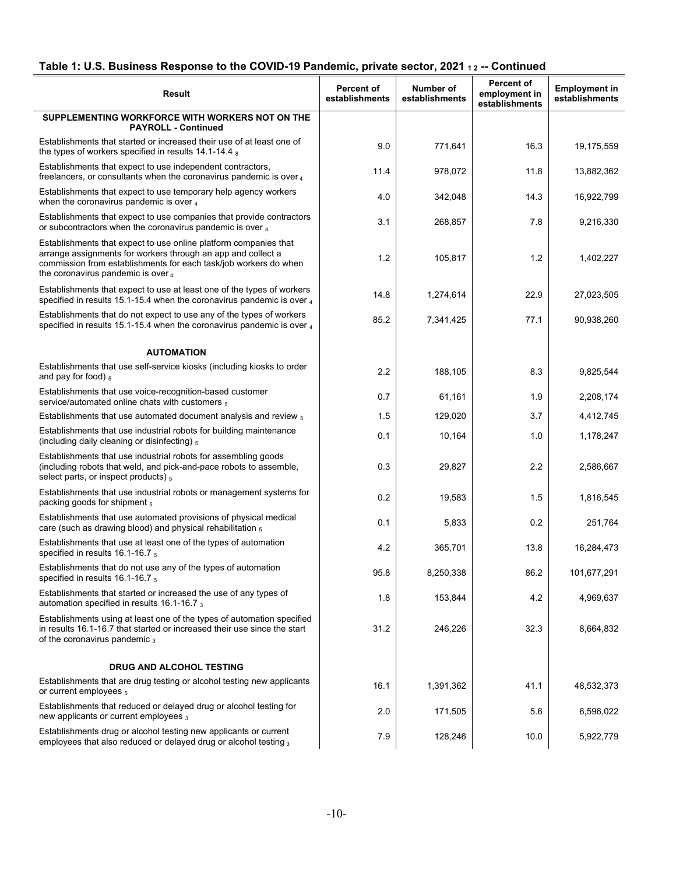# **Table 1: U.S. Business Response to the COVID-19 Pandemic, private sector, 2021 1 2 -- Continued**

| Result                                                                                                                                                                                                                                     | <b>Percent of</b><br>establishments | Number of<br>establishments | Percent of<br>employment in<br>establishments | <b>Employment in</b><br>establishments |
|--------------------------------------------------------------------------------------------------------------------------------------------------------------------------------------------------------------------------------------------|-------------------------------------|-----------------------------|-----------------------------------------------|----------------------------------------|
| SUPPLEMENTING WORKFORCE WITH WORKERS NOT ON THE<br><b>PAYROLL - Continued</b>                                                                                                                                                              |                                     |                             |                                               |                                        |
| Establishments that started or increased their use of at least one of<br>the types of workers specified in results $14.1 - 14.4$ s                                                                                                         | 9.0                                 | 771,641                     | 16.3                                          | 19,175,559                             |
| Establishments that expect to use independent contractors,<br>freelancers, or consultants when the coronavirus pandemic is over $_4$                                                                                                       | 11.4                                | 978,072                     | 11.8                                          | 13,882,362                             |
| Establishments that expect to use temporary help agency workers<br>when the coronavirus pandemic is over $_4$                                                                                                                              | 4.0                                 | 342,048                     | 14.3                                          | 16,922,799                             |
| Establishments that expect to use companies that provide contractors<br>or subcontractors when the coronavirus pandemic is over 4                                                                                                          | 3.1                                 | 268,857                     | 7.8                                           | 9,216,330                              |
| Establishments that expect to use online platform companies that<br>arrange assignments for workers through an app and collect a<br>commission from establishments for each task/job workers do when<br>the coronavirus pandemic is over 4 | 1.2                                 | 105,817                     | 1.2                                           | 1,402,227                              |
| Establishments that expect to use at least one of the types of workers<br>specified in results 15.1-15.4 when the coronavirus pandemic is over $_4$                                                                                        | 14.8                                | 1,274,614                   | 22.9                                          | 27,023,505                             |
| Establishments that do not expect to use any of the types of workers<br>specified in results 15.1-15.4 when the coronavirus pandemic is over $_4$                                                                                          | 85.2                                | 7,341,425                   | 77.1                                          | 90,938,260                             |
| <b>AUTOMATION</b>                                                                                                                                                                                                                          |                                     |                             |                                               |                                        |
| Establishments that use self-service kiosks (including kiosks to order<br>and pay for food) $_5$                                                                                                                                           | 2.2                                 | 188,105                     | 8.3                                           | 9,825,544                              |
| Establishments that use voice-recognition-based customer<br>service/automated online chats with customers $_5$                                                                                                                             | 0.7                                 | 61,161                      | 1.9                                           | 2,208,174                              |
| Establishments that use automated document analysis and review $_5$                                                                                                                                                                        | 1.5                                 | 129,020                     | 3.7                                           | 4,412,745                              |
| Establishments that use industrial robots for building maintenance<br>(including daily cleaning or disinfecting) $_5$                                                                                                                      | 0.1                                 | 10,164                      | 1.0                                           | 1,178,247                              |
| Establishments that use industrial robots for assembling goods<br>(including robots that weld, and pick-and-pace robots to assemble,<br>select parts, or inspect products) 5                                                               | 0.3                                 | 29,827                      | 2.2                                           | 2,586,667                              |
| Establishments that use industrial robots or management systems for<br>packing goods for shipment 5                                                                                                                                        | 0.2                                 | 19,583                      | 1.5                                           | 1,816,545                              |
| Establishments that use automated provisions of physical medical<br>care (such as drawing blood) and physical rehabilitation $_5$                                                                                                          | 0.1                                 | 5,833                       | 0.2                                           | 251,764                                |
| Establishments that use at least one of the types of automation<br>specified in results 16.1-16.7 5                                                                                                                                        | 4.2                                 | 365,701                     | 13.8                                          | 16,284,473                             |
| Establishments that do not use any of the types of automation<br>specified in results $16.1 - 16.75$                                                                                                                                       | 95.8                                | 8,250,338                   | 86.2                                          | 101,677,291                            |
| Establishments that started or increased the use of any types of<br>automation specified in results 16.1-16.7 3                                                                                                                            | 1.8                                 | 153,844                     | 4.2                                           | 4,969,637                              |
| Establishments using at least one of the types of automation specified<br>in results 16.1-16.7 that started or increased their use since the start<br>of the coronavirus pandemic 3                                                        | 31.2                                | 246,226                     | 32.3                                          | 8,664,832                              |
| DRUG AND ALCOHOL TESTING                                                                                                                                                                                                                   |                                     |                             |                                               |                                        |
| Establishments that are drug testing or alcohol testing new applicants<br>or current employees 5                                                                                                                                           | 16.1                                | 1,391,362                   | 41.1                                          | 48,532,373                             |
| Establishments that reduced or delayed drug or alcohol testing for<br>new applicants or current employees 3                                                                                                                                | 2.0                                 | 171,505                     | 5.6                                           | 6,596,022                              |
| Establishments drug or alcohol testing new applicants or current<br>employees that also reduced or delayed drug or alcohol testing 3                                                                                                       | 7.9                                 | 128,246                     | 10.0                                          | 5,922,779                              |